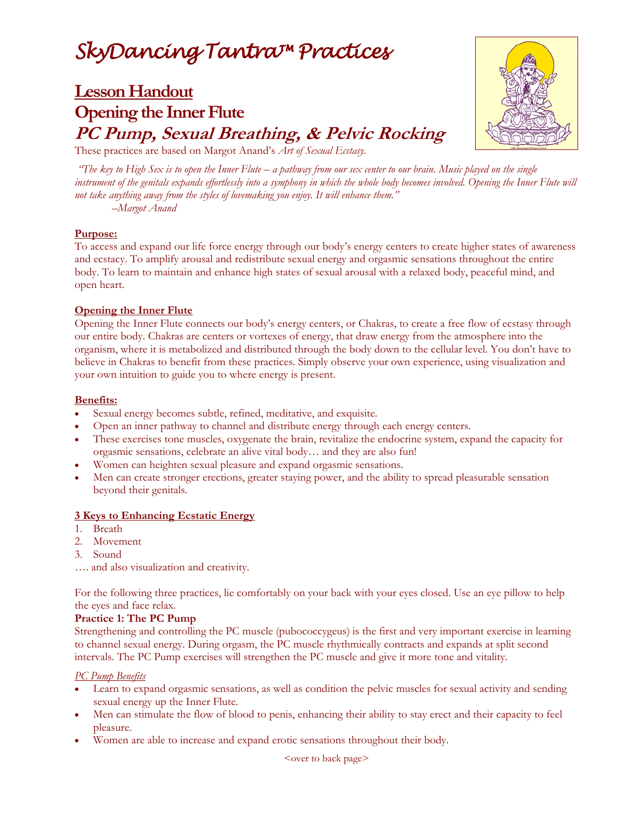# *SkyDancing Tantra™ Practices*

# **Lesson Handout Opening the Inner Flute PC Pump, Sexual Breathing, & Pelvic Rocking**



These practices are based on Margot Anand's *Art of Sexual Ecstasy.*

 *"The key to High Sex is to open the Inner Flute – a pathway from our sex center to our brain. Music played on the single instrument of the genitals expands effortlessly into a symphony in which the whole body becomes involved. Opening the Inner Flute will not take anything away from the styles of lovemaking you enjoy. It will enhance them."* 

*–Margot Anand* 

### **Purpose:**

To access and expand our life force energy through our body's energy centers to create higher states of awareness and ecstacy. To amplify arousal and redistribute sexual energy and orgasmic sensations throughout the entire body. To learn to maintain and enhance high states of sexual arousal with a relaxed body, peaceful mind, and open heart.

### **Opening the Inner Flute**

Opening the Inner Flute connects our body's energy centers, or Chakras, to create a free flow of ecstasy through our entire body. Chakras are centers or vortexes of energy, that draw energy from the atmosphere into the organism, where it is metabolized and distributed through the body down to the cellular level. You don't have to believe in Chakras to benefit from these practices. Simply observe your own experience, using visualization and your own intuition to guide you to where energy is present.

### **Benefits:**

- Sexual energy becomes subtle, refined, meditative, and exquisite.
- Open an inner pathway to channel and distribute energy through each energy centers.
- These exercises tone muscles, oxygenate the brain, revitalize the endocrine system, expand the capacity for orgasmic sensations, celebrate an alive vital body… and they are also fun!
- Women can heighten sexual pleasure and expand orgasmic sensations.
- Men can create stronger erections, greater staying power, and the ability to spread pleasurable sensation beyond their genitals.

# **3 Keys to Enhancing Ecstatic Energy**

- 1. Breath
- 2. Movement
- 3. Sound
- …. and also visualization and creativity.

For the following three practices, lie comfortably on your back with your eyes closed. Use an eye pillow to help the eyes and face relax.

#### **Practice 1: The PC Pump**

Strengthening and controlling the PC muscle (pubococcygeus) is the first and very important exercise in learning to channel sexual energy. During orgasm, the PC muscle rhythmically contracts and expands at split second intervals. The PC Pump exercises will strengthen the PC muscle and give it more tone and vitality.

# *PC Pump Benefits*

- Learn to expand orgasmic sensations, as well as condition the pelvic muscles for sexual activity and sending sexual energy up the Inner Flute.
- Men can stimulate the flow of blood to penis, enhancing their ability to stay erect and their capacity to feel pleasure.
- Women are able to increase and expand erotic sensations throughout their body.